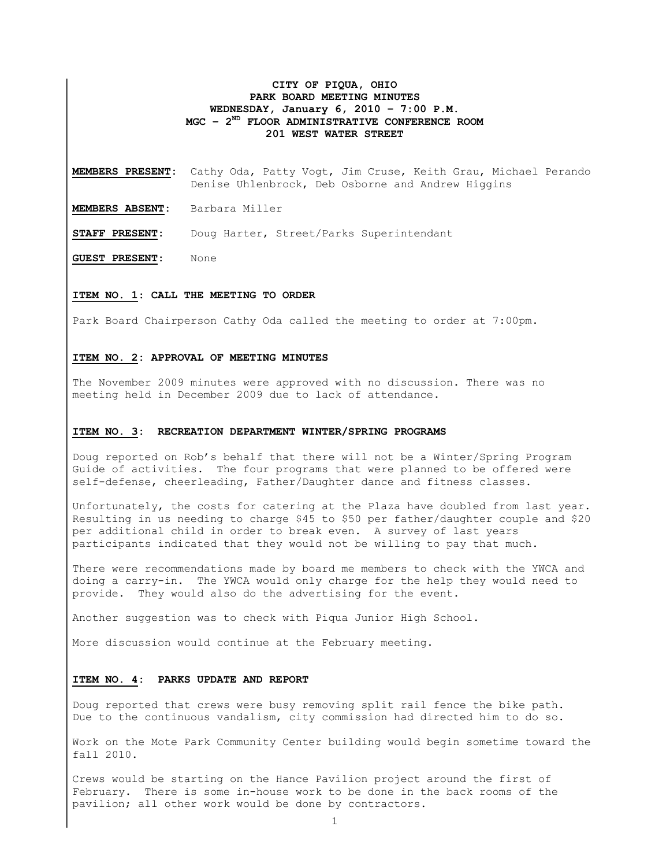## **CITY OF PIQUA, OHIO PARK BOARD MEETING MINUTES WEDNESDAY, January 6, 2010 – 7:00 P.M. MGC – 2ND FLOOR ADMINISTRATIVE CONFERENCE ROOM 201 WEST WATER STREET**

**MEMBERS PRESENT:** Cathy Oda, Patty Vogt, Jim Cruse, Keith Grau, Michael Perando Denise Uhlenbrock, Deb Osborne and Andrew Higgins

**MEMBERS ABSENT:** Barbara Miller

**STAFF PRESENT:** Doug Harter, Street/Parks Superintendant

**GUEST PRESENT:** None

### **ITEM NO. 1: CALL THE MEETING TO ORDER**

Park Board Chairperson Cathy Oda called the meeting to order at 7:00pm.

### **ITEM NO. 2: APPROVAL OF MEETING MINUTES**

The November 2009 minutes were approved with no discussion. There was no meeting held in December 2009 due to lack of attendance.

### **ITEM NO. 3: RECREATION DEPARTMENT WINTER/SPRING PROGRAMS**

Doug reported on Rob's behalf that there will not be a Winter/Spring Program Guide of activities. The four programs that were planned to be offered were self-defense, cheerleading, Father/Daughter dance and fitness classes.

Unfortunately, the costs for catering at the Plaza have doubled from last year. Resulting in us needing to charge \$45 to \$50 per father/daughter couple and \$20 per additional child in order to break even. A survey of last years participants indicated that they would not be willing to pay that much.

There were recommendations made by board me members to check with the YWCA and doing a carry-in. The YWCA would only charge for the help they would need to provide. They would also do the advertising for the event.

Another suggestion was to check with Piqua Junior High School.

More discussion would continue at the February meeting.

## **ITEM NO. 4: PARKS UPDATE AND REPORT**

Doug reported that crews were busy removing split rail fence the bike path. Due to the continuous vandalism, city commission had directed him to do so.

Work on the Mote Park Community Center building would begin sometime toward the fall 2010.

Crews would be starting on the Hance Pavilion project around the first of February. There is some in-house work to be done in the back rooms of the pavilion; all other work would be done by contractors.